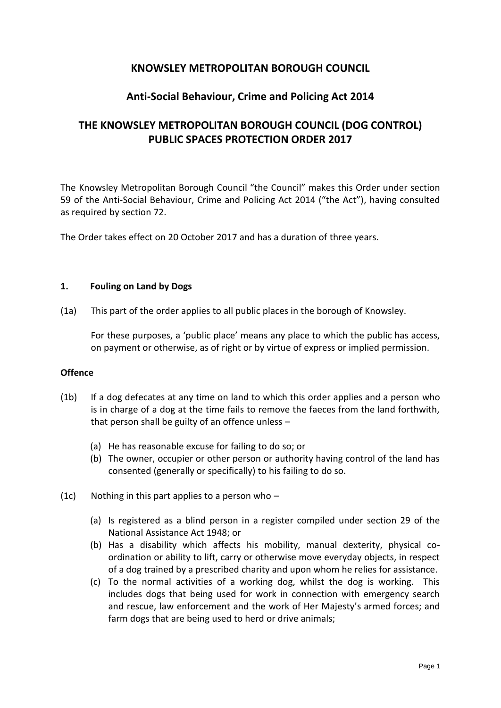# **KNOWSLEY METROPOLITAN BOROUGH COUNCIL**

# **Anti-Social Behaviour, Crime and Policing Act 2014**

# **THE KNOWSLEY METROPOLITAN BOROUGH COUNCIL (DOG CONTROL) PUBLIC SPACES PROTECTION ORDER 2017**

The Knowsley Metropolitan Borough Council "the Council" makes this Order under section 59 of the Anti-Social Behaviour, Crime and Policing Act 2014 ("the Act"), having consulted as required by section 72.

The Order takes effect on 20 October 2017 and has a duration of three years.

#### **1. Fouling on Land by Dogs**

(1a) This part of the order applies to all public places in the borough of Knowsley.

For these purposes, a 'public place' means any place to which the public has access, on payment or otherwise, as of right or by virtue of express or implied permission.

#### **Offence**

- (1b) If a dog defecates at any time on land to which this order applies and a person who is in charge of a dog at the time fails to remove the faeces from the land forthwith, that person shall be guilty of an offence unless –
	- (a) He has reasonable excuse for failing to do so; or
	- (b) The owner, occupier or other person or authority having control of the land has consented (generally or specifically) to his failing to do so.
- (1c) Nothing in this part applies to a person who  $-$ 
	- (a) Is registered as a blind person in a register compiled under section 29 of the National Assistance Act 1948; or
	- (b) Has a disability which affects his mobility, manual dexterity, physical coordination or ability to lift, carry or otherwise move everyday objects, in respect of a dog trained by a prescribed charity and upon whom he relies for assistance.
	- (c) To the normal activities of a working dog, whilst the dog is working. This includes dogs that being used for work in connection with emergency search and rescue, law enforcement and the work of Her Majesty's armed forces; and farm dogs that are being used to herd or drive animals;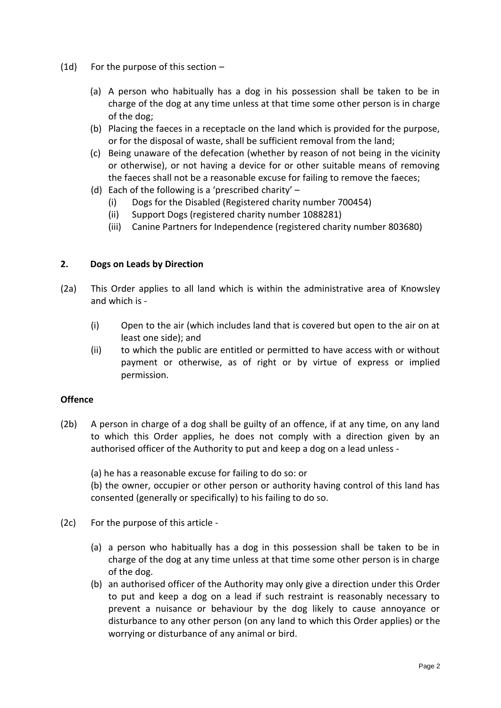- (1d) For the purpose of this section
	- (a) A person who habitually has a dog in his possession shall be taken to be in charge of the dog at any time unless at that time some other person is in charge of the dog;
	- (b) Placing the faeces in a receptacle on the land which is provided for the purpose, or for the disposal of waste, shall be sufficient removal from the land;
	- (c) Being unaware of the defecation (whether by reason of not being in the vicinity or otherwise), or not having a device for or other suitable means of removing the faeces shall not be a reasonable excuse for failing to remove the faeces;
	- (d) Each of the following is a 'prescribed charity'  $-$ 
		- (i) Dogs for the Disabled (Registered charity number 700454)
		- (ii) Support Dogs (registered charity number 1088281)
		- (iii) Canine Partners for Independence (registered charity number 803680)

## **2. Dogs on Leads by Direction**

- (2a) This Order applies to all land which is within the administrative area of Knowsley and which is -
	- (i) Open to the air (which includes land that is covered but open to the air on at least one side); and
	- (ii) to which the public are entitled or permitted to have access with or without payment or otherwise, as of right or by virtue of express or implied permission.

#### **Offence**

(2b) A person in charge of a dog shall be guilty of an offence, if at any time, on any land to which this Order applies, he does not comply with a direction given by an authorised officer of the Authority to put and keep a dog on a lead unless -

(a) he has a reasonable excuse for failing to do so: or

(b) the owner, occupier or other person or authority having control of this land has consented (generally or specifically) to his failing to do so.

- (2c) For the purpose of this article
	- (a) a person who habitually has a dog in this possession shall be taken to be in charge of the dog at any time unless at that time some other person is in charge of the dog.
	- (b) an authorised officer of the Authority may only give a direction under this Order to put and keep a dog on a lead if such restraint is reasonably necessary to prevent a nuisance or behaviour by the dog likely to cause annoyance or disturbance to any other person (on any land to which this Order applies) or the worrying or disturbance of any animal or bird.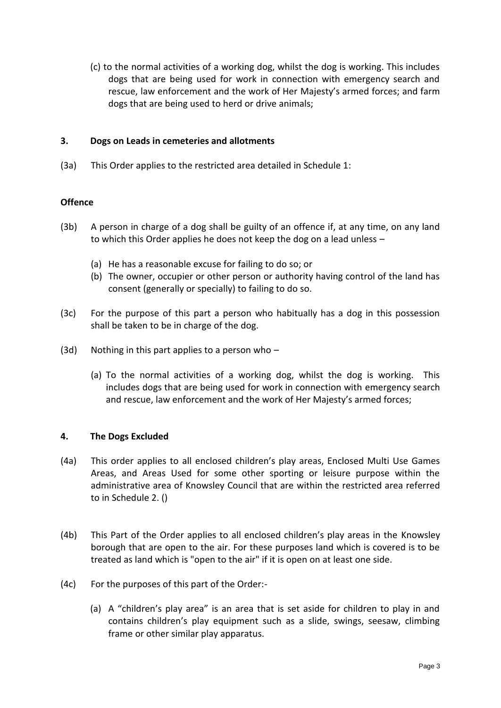(c) to the normal activities of a working dog, whilst the dog is working. This includes dogs that are being used for work in connection with emergency search and rescue, law enforcement and the work of Her Majesty's armed forces; and farm dogs that are being used to herd or drive animals;

# **3. Dogs on Leads in cemeteries and allotments**

(3a) This Order applies to the restricted area detailed in Schedule 1:

# **Offence**

- (3b) A person in charge of a dog shall be guilty of an offence if, at any time, on any land to which this Order applies he does not keep the dog on a lead unless –
	- (a) He has a reasonable excuse for failing to do so; or
	- (b) The owner, occupier or other person or authority having control of the land has consent (generally or specially) to failing to do so.
- (3c) For the purpose of this part a person who habitually has a dog in this possession shall be taken to be in charge of the dog.
- (3d) Nothing in this part applies to a person who  $-$ 
	- (a) To the normal activities of a working dog, whilst the dog is working. This includes dogs that are being used for work in connection with emergency search and rescue, law enforcement and the work of Her Majesty's armed forces;

## **4. The Dogs Excluded**

- (4a) This order applies to all enclosed children's play areas, Enclosed Multi Use Games Areas, and Areas Used for some other sporting or leisure purpose within the administrative area of Knowsley Council that are within the restricted area referred to in Schedule 2. ()
- (4b) This Part of the Order applies to all enclosed children's play areas in the Knowsley borough that are open to the air. For these purposes land which is covered is to be treated as land which is "open to the air" if it is open on at least one side.
- (4c) For the purposes of this part of the Order:-
	- (a) A "children's play area" is an area that is set aside for children to play in and contains children's play equipment such as a slide, swings, seesaw, climbing frame or other similar play apparatus.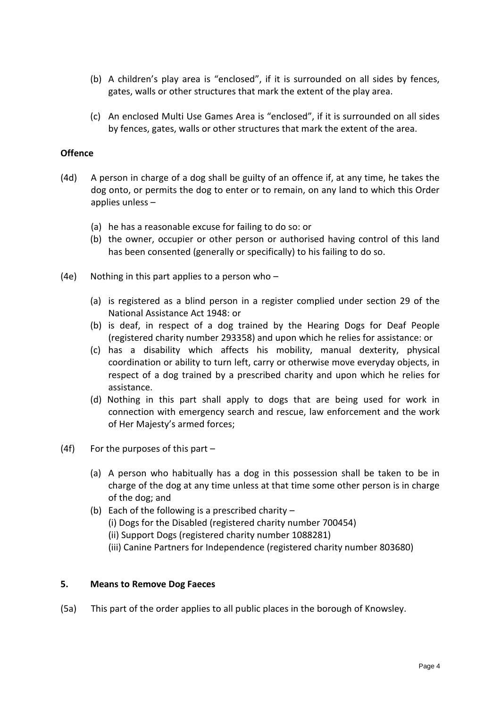- (b) A children's play area is "enclosed", if it is surrounded on all sides by fences, gates, walls or other structures that mark the extent of the play area.
- (c) An enclosed Multi Use Games Area is "enclosed", if it is surrounded on all sides by fences, gates, walls or other structures that mark the extent of the area.

#### **Offence**

- (4d) A person in charge of a dog shall be guilty of an offence if, at any time, he takes the dog onto, or permits the dog to enter or to remain, on any land to which this Order applies unless –
	- (a) he has a reasonable excuse for failing to do so: or
	- (b) the owner, occupier or other person or authorised having control of this land has been consented (generally or specifically) to his failing to do so.
- (4e) Nothing in this part applies to a person who  $-$ 
	- (a) is registered as a blind person in a register complied under section 29 of the National Assistance Act 1948: or
	- (b) is deaf, in respect of a dog trained by the Hearing Dogs for Deaf People (registered charity number 293358) and upon which he relies for assistance: or
	- (c) has a disability which affects his mobility, manual dexterity, physical coordination or ability to turn left, carry or otherwise move everyday objects, in respect of a dog trained by a prescribed charity and upon which he relies for assistance.
	- (d) Nothing in this part shall apply to dogs that are being used for work in connection with emergency search and rescue, law enforcement and the work of Her Majesty's armed forces;
- (4f) For the purposes of this part
	- (a) A person who habitually has a dog in this possession shall be taken to be in charge of the dog at any time unless at that time some other person is in charge of the dog; and
	- (b) Each of the following is a prescribed charity  $-$ (i) Dogs for the Disabled (registered charity number 700454) (ii) Support Dogs (registered charity number 1088281) (iii) Canine Partners for Independence (registered charity number 803680)

#### **5. Means to Remove Dog Faeces**

(5a) This part of the order applies to all public places in the borough of Knowsley.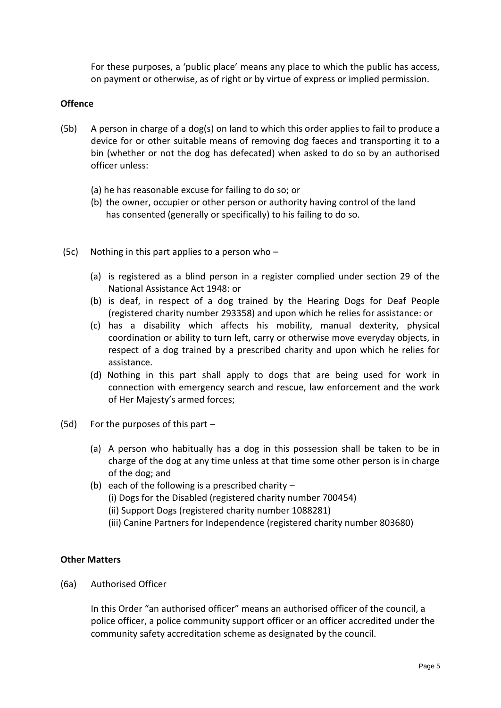For these purposes, a 'public place' means any place to which the public has access, on payment or otherwise, as of right or by virtue of express or implied permission.

## **Offence**

- (5b) A person in charge of a dog(s) on land to which this order applies to fail to produce a device for or other suitable means of removing dog faeces and transporting it to a bin (whether or not the dog has defecated) when asked to do so by an authorised officer unless:
	- (a) he has reasonable excuse for failing to do so; or
	- (b) the owner, occupier or other person or authority having control of the land has consented (generally or specifically) to his failing to do so.
- (5c) Nothing in this part applies to a person who
	- (a) is registered as a blind person in a register complied under section 29 of the National Assistance Act 1948: or
	- (b) is deaf, in respect of a dog trained by the Hearing Dogs for Deaf People (registered charity number 293358) and upon which he relies for assistance: or
	- (c) has a disability which affects his mobility, manual dexterity, physical coordination or ability to turn left, carry or otherwise move everyday objects, in respect of a dog trained by a prescribed charity and upon which he relies for assistance.
	- (d) Nothing in this part shall apply to dogs that are being used for work in connection with emergency search and rescue, law enforcement and the work of Her Majesty's armed forces;
- (5d) For the purposes of this part
	- (a) A person who habitually has a dog in this possession shall be taken to be in charge of the dog at any time unless at that time some other person is in charge of the dog; and
	- (b) each of the following is a prescribed charity  $-$ (i) Dogs for the Disabled (registered charity number 700454) (ii) Support Dogs (registered charity number 1088281) (iii) Canine Partners for Independence (registered charity number 803680)

#### **Other Matters**

(6a) Authorised Officer

In this Order "an authorised officer" means an authorised officer of the council, a police officer, a police community support officer or an officer accredited under the community safety accreditation scheme as designated by the council.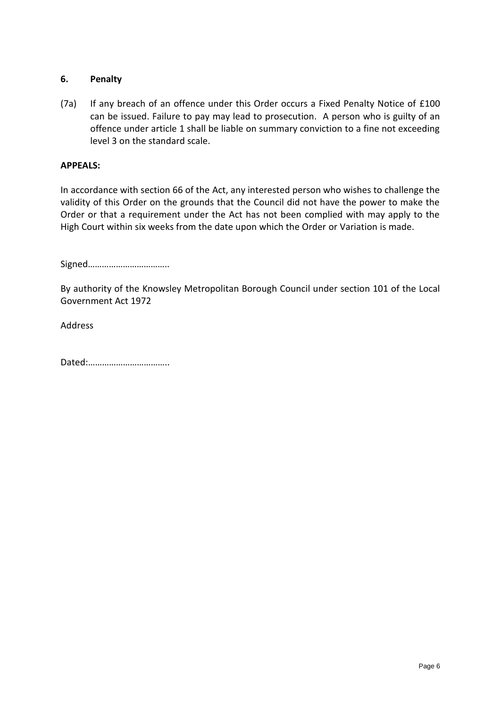# **6. Penalty**

(7a) If any breach of an offence under this Order occurs a Fixed Penalty Notice of £100 can be issued. Failure to pay may lead to prosecution. A person who is guilty of an offence under article 1 shall be liable on summary conviction to a fine not exceeding level 3 on the standard scale.

#### **APPEALS:**

In accordance with section 66 of the Act, any interested person who wishes to challenge the validity of this Order on the grounds that the Council did not have the power to make the Order or that a requirement under the Act has not been complied with may apply to the High Court within six weeks from the date upon which the Order or Variation is made.

Signed……………………………..

By authority of the Knowsley Metropolitan Borough Council under section 101 of the Local Government Act 1972

Address

Dated:……………………………..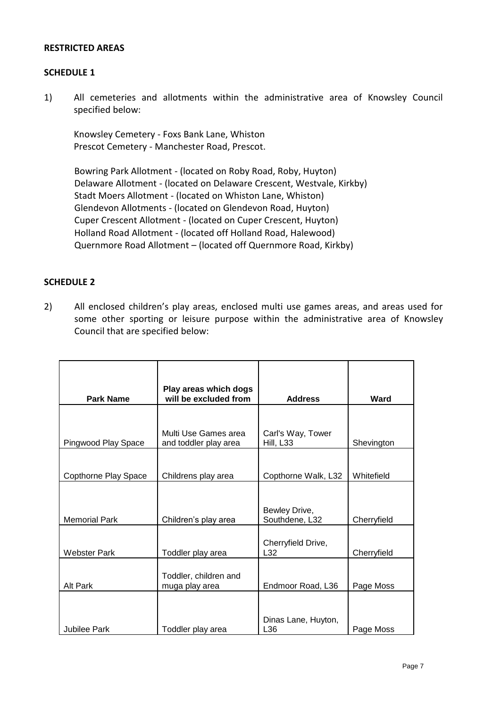#### **RESTRICTED AREAS**

#### **SCHEDULE 1**

1) All cemeteries and allotments within the administrative area of Knowsley Council specified below:

Knowsley Cemetery - Foxs Bank Lane, Whiston Prescot Cemetery - Manchester Road, Prescot.

Bowring Park Allotment - (located on Roby Road, Roby, Huyton) Delaware Allotment - (located on Delaware Crescent, Westvale, Kirkby) Stadt Moers Allotment - (located on Whiston Lane, Whiston) Glendevon Allotments - (located on Glendevon Road, Huyton) Cuper Crescent Allotment - (located on Cuper Crescent, Huyton) Holland Road Allotment - (located off Holland Road, Halewood) Quernmore Road Allotment – (located off Quernmore Road, Kirkby)

# **SCHEDULE 2**

2) All enclosed children's play areas, enclosed multi use games areas, and areas used for some other sporting or leisure purpose within the administrative area of Knowsley Council that are specified below:

| <b>Park Name</b>     | Play areas which dogs<br>will be excluded from | <b>Address</b>                  | Ward        |
|----------------------|------------------------------------------------|---------------------------------|-------------|
|                      |                                                |                                 |             |
| Pingwood Play Space  | Multi Use Games area<br>and toddler play area  | Carl's Way, Tower<br>Hill, L33  | Shevington  |
|                      |                                                |                                 |             |
| Copthorne Play Space | Childrens play area                            | Copthorne Walk, L32             | Whitefield  |
| <b>Memorial Park</b> | Children's play area                           | Bewley Drive,<br>Southdene, L32 | Cherryfield |
| <b>Webster Park</b>  | Toddler play area                              | Cherryfield Drive,<br>L32       | Cherryfield |
| Alt Park             | Toddler, children and<br>muga play area        | Endmoor Road, L36               | Page Moss   |
| Jubilee Park         | Toddler play area                              | Dinas Lane, Huyton,<br>L36      | Page Moss   |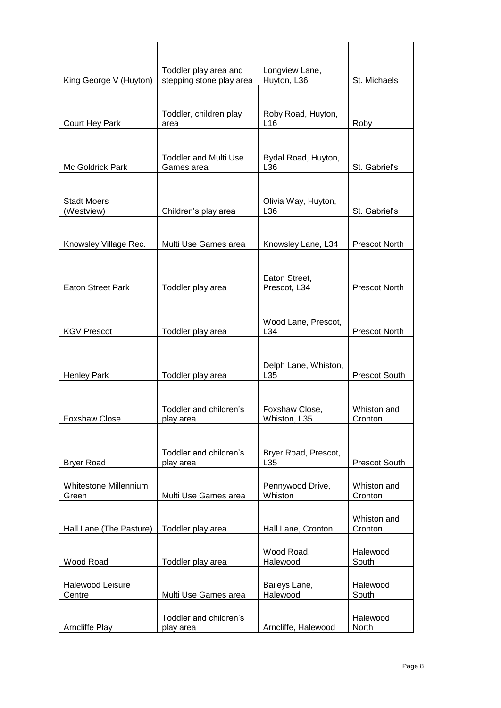|                                  | Toddler play area and                      | Longview Lane,                 |                        |
|----------------------------------|--------------------------------------------|--------------------------------|------------------------|
| King George V (Huyton)           | stepping stone play area                   | Huyton, L36                    | St. Michaels           |
| Court Hey Park                   | Toddler, children play<br>area             | Roby Road, Huyton,<br>L16      | Roby                   |
| Mc Goldrick Park                 | <b>Toddler and Multi Use</b><br>Games area | Rydal Road, Huyton,<br>L36     | St. Gabriel's          |
| <b>Stadt Moers</b><br>(Westview) | Children's play area                       | Olivia Way, Huyton,<br>L36     | St. Gabriel's          |
| Knowsley Village Rec.            | Multi Use Games area                       | Knowsley Lane, L34             | Prescot North          |
| <b>Eaton Street Park</b>         | Toddler play area                          | Eaton Street,<br>Prescot, L34  | Prescot North          |
| <b>KGV Prescot</b>               | Toddler play area                          | Wood Lane, Prescot,<br>L34     | Prescot North          |
| <b>Henley Park</b>               | Toddler play area                          | Delph Lane, Whiston,<br>L35    | Prescot South          |
| <b>Foxshaw Close</b>             | Toddler and children's<br>play area        | Foxshaw Close,<br>Whiston, L35 | Whiston and<br>Cronton |
| <b>Bryer Road</b>                | Toddler and children's<br>play area        | Bryer Road, Prescot,<br>L35    | Prescot South          |
| Whitestone Millennium<br>Green   | Multi Use Games area                       | Pennywood Drive,<br>Whiston    | Whiston and<br>Cronton |
| Hall Lane (The Pasture)          | Toddler play area                          | Hall Lane, Cronton             | Whiston and<br>Cronton |
| Wood Road                        | Toddler play area                          | Wood Road,<br>Halewood         | Halewood<br>South      |
| Halewood Leisure<br>Centre       | Multi Use Games area                       | Baileys Lane,<br>Halewood      | Halewood<br>South      |
| <b>Arncliffe Play</b>            | Toddler and children's<br>play area        | Arncliffe, Halewood            | Halewood<br>North      |